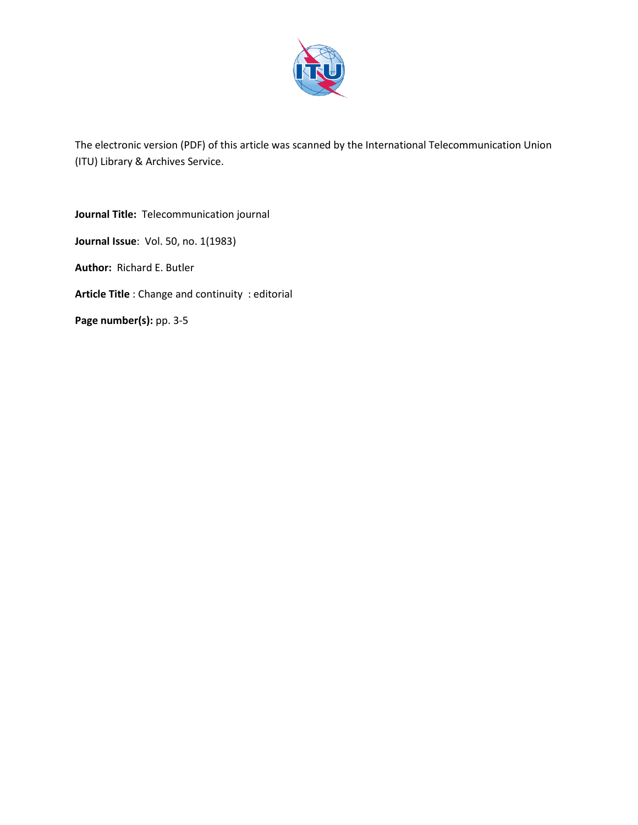

The electronic version (PDF) of this article was scanned by the International Telecommunication Union (ITU) Library & Archives Service.

**Journal Title:** Telecommunication journal **Journal Issue**: Vol. 50, no. 1(1983) **Author:** Richard E. Butler **Article Title** : Change and continuity : editorial Page number(s): pp. 3-5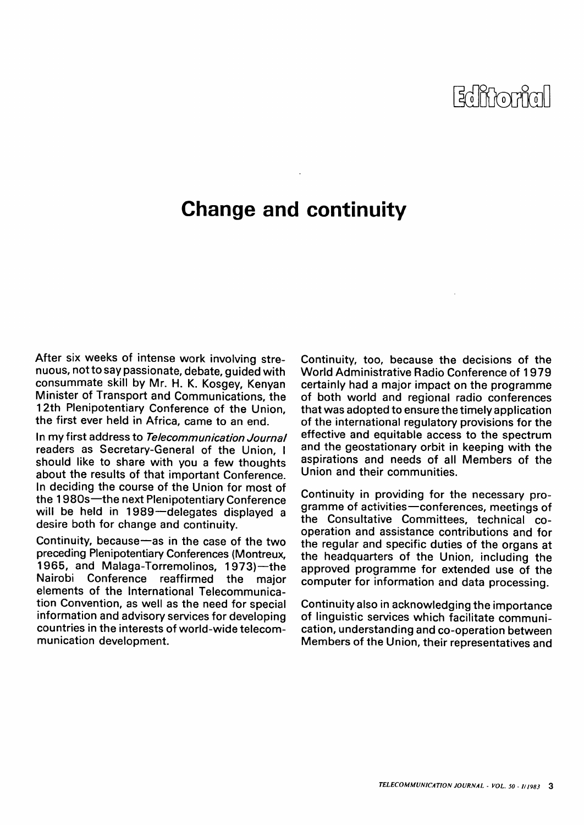## $\mathbb{E}$ d it $\mathbb{M}$ oriyal |

## **Change and continuity**

**After six weeks of intense work involving strenuous, not to say passionate, debate, guided with consummate skill by Mr. H. K. Kosgey, Kenyan Minister of Transport and Communications, the 12th Plenipotentiary Conference of the Union, the first ever held in Africa, came to an end.** 

**In my first address to Telecommunication Journal readers as Secretary-General of the Union, I should like to share with you a few thoughts about the results of that important Conference. In deciding the course of the Union for most of the 1980s—the next Plenipotentiary Conference will be held in 1989—delegates displayed a desire both for change and continuity.** 

**Continuity, because—as in the case of the two preceding Plenipotentiary Conferences (Montreux, 1965, and Malaga-Torremolinos, 1973)—the Nairobi Conference reaffirmed the major elements of the International Telecommunication Convention, as well as the need for special information and advisory services for developing countries in the interests of world-wide telecommunication development.** 

**Continuity, too, because the decisions of the World Administrative Radio Conference of 1979 certainly had a major impact on the programme of both world and regional radio conferences that was adopted to ensure the timely application of the international regulatory provisions for the effective and equitable access to the spectrum and the geostationary orbit in keeping with the aspirations and needs of all Members of the Union and their communities.** 

**Continuity in providing for the necessary programme of activities—conferences, meetings of the Consultative Committees, technical cooperation and assistance contributions and for the regular and specific duties of the organs at the headquarters of the Union, including the approved programme for extended use of the computer for information and data processing.** 

**Continuity also in acknowledging the importance of linguistic services which facilitate communication, understanding and co-operation between Members of the Union, their representatives and**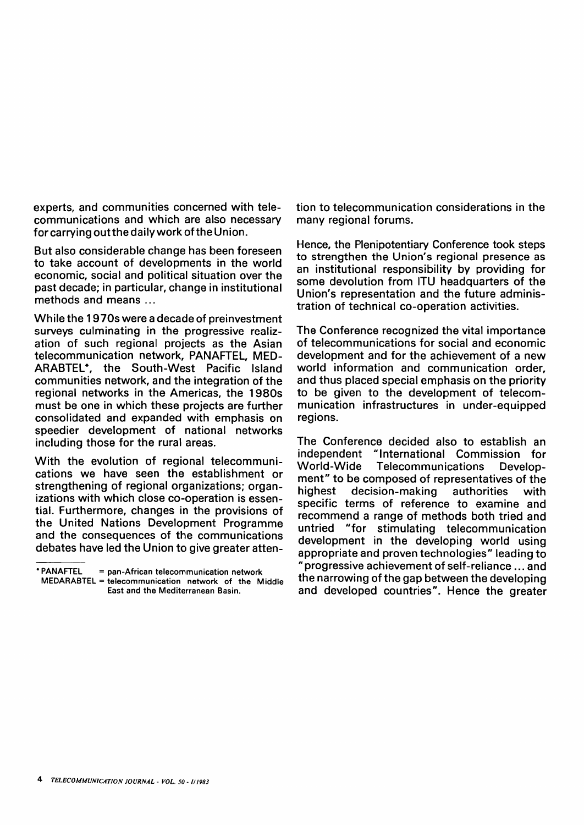**experts, and communities concerned with telecommunications and which are also necessary for carrying out the daily work of the Union.** 

**But also considerable change has been foreseen to take account of developments in the world economic, social and political situation over the past decade; in particular, change in institutional methods and means ...** 

**While the 1970s were a decade of preinvestment surveys culminating in the progressive realization of such regional projects as the Asian telecommunication network, PANAFTEL, MED-ARABTEL\*, the South-West Pacific Island communities network, and the integration of the regional networks in the Americas, the 1980s must be one in which these projects are further consolidated and expanded with emphasis on speedier development of national networks including those for the rural areas.** 

**With the evolution of regional telecommunications we have seen the establishment or strengthening of regional organizations; organizations with which close co-operation is essential. Furthermore, changes in the provisions of the United Nations Development Programme and the consequences of the communications debates have led the Union to give greater atten-**

• PANAFTEL = pan-African telecommunication network

MEDARABTEL = telecommunication network of the Middle East and the Mediterranean Basin.

**tion to telecommunication considerations in the many regional forums.** 

**Hence, the Plenipotentiary Conference took steps to strengthen the Union's regional presence as an institutional responsibility by providing for some devolution from ITU headquarters of the Union's representation and the future administration of technical co-operation activities.** 

**The Conference recognized the vital importance of telecommunications for social and economic development and for the achievement of a new world information and communication order, and thus placed special emphasis on the priority to be given to the development of telecommunication infrastructures in under-equipped regions.** 

**The Conference decided also to establish an independent "International Commission for World-Wide Telecommunications Development" to be composed of representatives of the highest decision-making authorities with specific terms of reference to examine and recommend a range of methods both tried and untried "for stimulating telecommunication development in the developing world using appropriate and proven technologies" leading to " progressive achievement of self-reliance... and the narrowing of the gap between the developing and developed countries". Hence the greater**